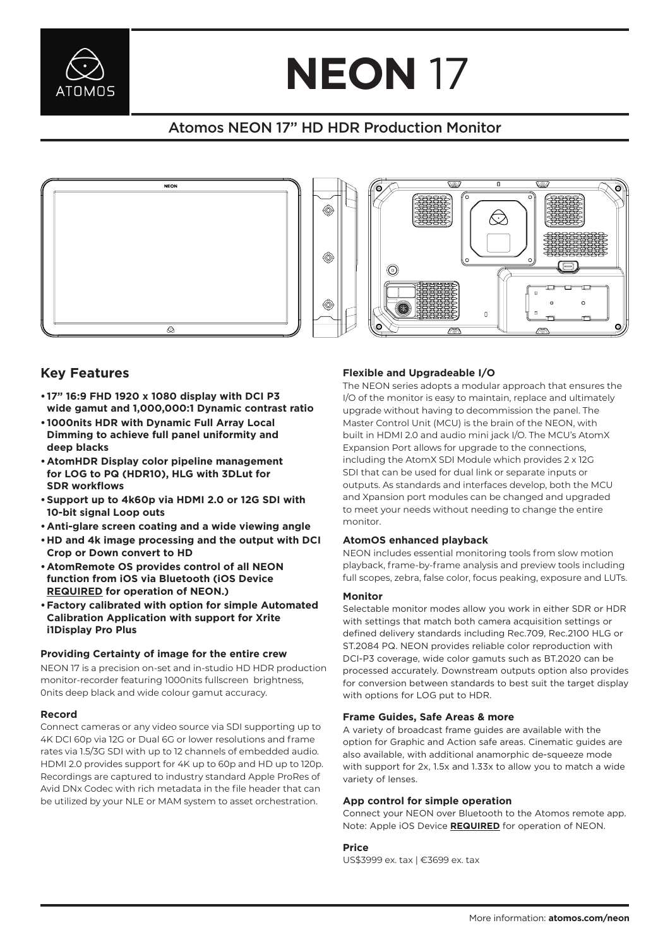

# **NEON** 17 L L L L L L

# Atomos NEON 17" HD HDR Production Monitor





## **Key Features**

- **• 17" 16:9 FHD 1920 x 1080 display with DCI P3 wide gamut and 1,000,000:1 Dynamic contrast ratio**
- **• 1000nits HDR with Dynamic Full Array Local Dimming to achieve full panel uniformity and deep blacks**
- **•AtomHDR Display color pipeline management for LOG to PQ (HDR10), HLG with 3DLut for SDR workflows**
- **•Support up to 4k60p via HDMI 2.0 or 12G SDI with 10-bit signal Loop outs**
- Anti-glare screen coating and a wide viewing angle **community in the community of the community of the community of the community of an article continues. Anti-**
	- **•HD and 4k image processing and the output with DCI Crop or Down convert to HD**
- **•AtomRemote OS provides control of all NEON function from iOS via Bluetooth (iOS Device REQUIRED for operation of NEON.) DEQUIDED** for exerction of NEONA **DEQUIDED** for exerction of NEONA **DEQUIDED** for exerction of NEONA
	- **•Factory calibrated with option for simple Automated Calibration Application with support for Xrite i1Display Pro Plus**

NEON 17 is a precision on-set and in-studio HD HDR production monitor-recorder featuring 1000nits fullscreen brightness, 0nits deep black and wide colour gamut accuracy.

#### **Record**

Connect cameras or any video source via SDI supporting up to 4K DCI 60p via 12G or Dual 6G or lower resolutions and frame rates via 1.5/3G SDI with up to 12 channels of embedded audio. HDMI 2.0 provides support for 4K up to 60p and HD up to 120p. Recordings are captured to industry standard Apple ProRes of Avid DNx Codec with rich metadata in the file header that can be utilized by your NLE or MAM system to asset orchestration.

### **Flexible and Upgradeable I/O**

The NEON series adopts a modular approach that ensures the  $\cdot$  17" 16:9 FHD 1920 X 1080 display With DCI P3  $1/$  of the monitor is easy to maintain, replace and ultimately upgrade without having to decommission the panel. The Master Control Unit (MCU) is the brain of the NEON, with built in HDMI 2.0 and audio mini jack I/O. The MCU's AtomX Expansion Port allows for upgrade to the connections, • AtomHDR Display color pipeline management state of the AtomX SDI Module which provides 2 x 12G SDI that can be used for dual link or separate inputs or outputs. As standards and interfaces develop, both the MCU and Xpansion port modules can be changed and upgraded to meet your needs without needing to change the entire monitor.

### **AtomOS enhanced playback**

NEON includes essential monitoring tools from slow motion playback, frame-by-frame analysis and preview tools including full scopes, zebra, false color, focus peaking, exposure and LUTs.

#### **Monitor**

**Providing Certainty of image for the entire crew** B B B B B B Selectable monitor modes allow you work in either SDR or HDR with settings that match both camera acquisition settings or defined delivery standards including Rec.709, Rec.2100 HLG or ST.2084 PQ. NEON provides reliable color reproduction with DCI-P3 coverage, wide color gamuts such as BT.2020 can be processed accurately. Downstream outputs option also provides for conversion between standards to best suit the target display with options for LOG put to HDR.

#### **Frame Guides, Safe Areas & more** record contract the contract of the contract of the contract of the contract of the contract of the contract of the contract of the contract of the contract of the contract of the contract of the contract of the contract o record and the contract of the contract of the contract of the contract of the contract of the contract of the contract of the contract of the contract of the contract of the contract of the contract of the contract of the record and the contract of the contract of the contract of the contract of the contract of the contract of the contract of the contract of the contract of the contract of the contract of the contract of the contract of the

A variety of broadcast frame guides are available with the option for Graphic and Action safe areas. Cinematic guides are also available, with additional anamorphic de-squeeze mode with support for 2x, 1.5x and 1.33x to allow you to match a wide variety of lenses.

#### **App control for simple operation**

Connect your NEON over Bluetooth to the Atomos remote app. Note: Apple iOS Device **REQUIRED** for operation of NEON.

#### **Price**

US\$3999 ex. tax | €3699 ex. tax